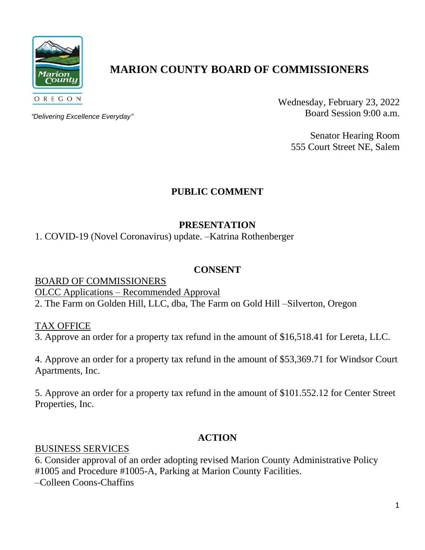

# **MARION COUNTY BOARD OF COMMISSIONERS**

*"Delivering Excellence Everyday"*

Wednesday, February 23, 2022 Board Session 9:00 a.m.

> Senator Hearing Room 555 Court Street NE, Salem

# **PUBLIC COMMENT**

# **PRESENTATION**

1. COVID-19 (Novel Coronavirus) update. –Katrina Rothenberger

### **CONSENT**

BOARD OF COMMISSIONERS OLCC Applications – Recommended Approval

2. The Farm on Golden Hill, LLC, dba, The Farm on Gold Hill –Silverton, Oregon

TAX OFFICE

3. Approve an order for a property tax refund in the amount of \$16,518.41 for Lereta, LLC.

4. Approve an order for a property tax refund in the amount of \$53,369.71 for Windsor Court Apartments, Inc.

5. Approve an order for a property tax refund in the amount of \$101.552.12 for Center Street Properties, Inc.

## **ACTION**

### BUSINESS SERVICES

6. Consider approval of an order adopting revised Marion County Administrative Policy #1005 and Procedure #1005-A, Parking at Marion County Facilities. –Colleen Coons-Chaffins